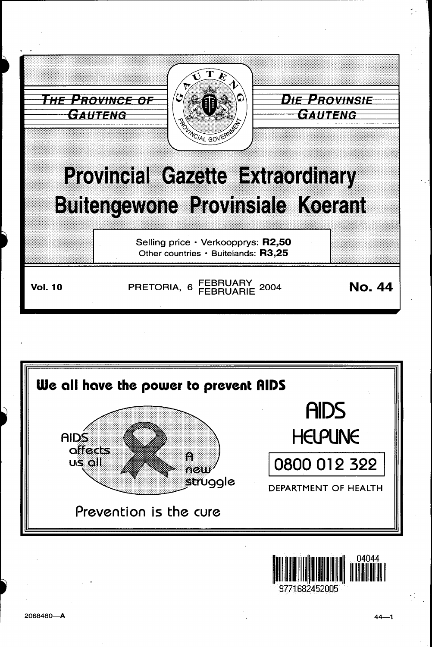



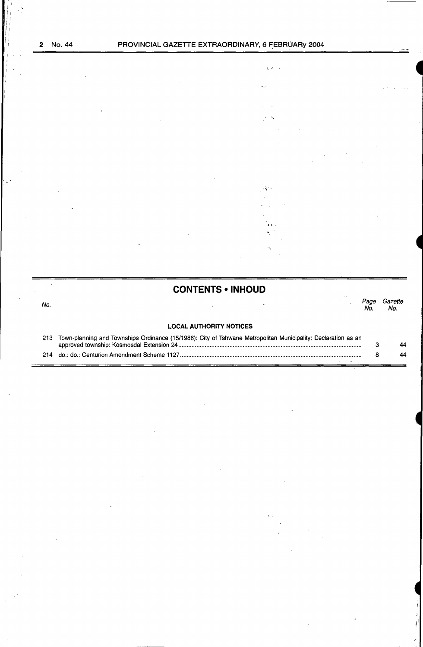$\bar{\mathbf{v}}$ 

 $\ddot{\cdot}$ 



# **CONTENTS . INHOUD**

| No. |                                |  | No. | Page Gazette<br>No. |
|-----|--------------------------------|--|-----|---------------------|
|     | <b>LOCAL AUTHORITY NOTICES</b> |  |     |                     |

| 213 Town-planning and Townships Ordinance (15/1986): City of Tshwane Metropolitan Municipality: Declaration as an |    |
|-------------------------------------------------------------------------------------------------------------------|----|
|                                                                                                                   | 44 |
|                                                                                                                   | 44 |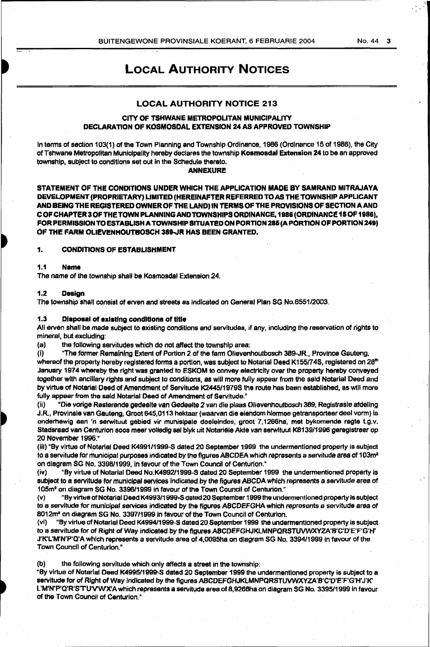# LOCAL AUTHORITY NOTICES

# LOCAL AUTHORITY NOTICE 213

# CITY OF TSHWANE METROPOLITAN MUNICIPALITY DECLARATION OF KOSMOSDAL EXTENSION 24 AS APPROVED TOWNSHIP

In tenns of section 103(1) of the Town Planning and Township Ordinance, 1986 (Ordinance 15 of 1986}, the City of Tshwane Metropolitan Municipality hereby declares the township Kosmoadal Extension 24 to be an approved township, subject to conditions set out in the Schedule thereto.

ANNEXURE

STATEMENT OF THE CONDITIONS UNDER WHICH THE APPLICATION MADE BY SAMRAND MITRAJAYA DEVELOPMENT (PROPRIETARY) LIMITED (HEREINAFTER REFERRED TO AS THE TOWNSHIP APPLICANT AND BEING THE REGISTERED OWNER OF THE LAND) IN TERMS OF THE PROVISIONS OF SECTION A AND COF CHAPTER 3 OF THE TOWN PLANNING AND TOWN SHIPS ORDINANCE, 1986 (ORDINANCE 15 OF 1986), FOR PERMISSION TO ESTABLISH A TOWNSHIP SITUATED ON PORTION 285 (A PORTION OF PORTION 249) OF THE FARM OLIEVENHOUTBOSCH 389-JR HAS BEEN GRANTED.

# 1. CONDITIONS OF ESTABLISHMENT

## 1.1 Name

The name of the township shall be Kosmosdal Extension *24.* 

#### 1.2 Design

The township shall consist of erven and streets as indicated on General Plan SG No.6551/2003\_

#### 1.3 Disposal of exlatlng conditions of title

All erven shall be made subject to existing conditions and servitudes,. if any, including the reservation of rights to mineral, but excluding:

(a) the following servitudes which do not affect the township area:

(i} "The former Remaining Extent of Portion 2 of the fann Olievenhoutbosch 389-JR, Province Gauteng,

whereof the property hereby registered forms a portion, was subject to Notarial Deed K155/74S, registered on 28<sup>th</sup> January 1974 whereby the right was granted to ESKOM to convey electricity over the property hereby conveyed together with ancillary rights and subject to conditions, as will more fully appear from the said Notarial Deed and by virtue of Notarial Deed of Amendment of Servitude K2445/1979S the route has been established, as will more fully appear from the said Notarial Dead of Amendment of Servitude."

(ii) "Die vorige Resterende gedeelte van Gedeelte *2* van die plaas Olievenhoutbosch 389, Registrasie afdeling J.R., Provinsie van Gauteng; Groot 645,0113 hektaar (waarvan die eiendom hiermee getransporteer deel vorm) is onderhewig aan 'n serwituut gebied vir munisipale doeleindes, groot 7, 1266ha, met bykomende regte t.g.v. Stadsraad van Centurion soos meer volledig sal blyk uit Notariële Akte van serwituut K8139/1996 geregistreer op 20 November 1996."

(iii) "By virtue of Notarial Deed K4991/1999-S dated 20 September 1999 the undermentioned property is subject to a servitude for municipal purposes indicated by the figures ABCDEA which represents a servitude area of  $103m^2$ on diagram SG No. 339811999, in favour of the Town Council of Centurion."

(iv) <sup>o</sup>By virtue of Notarial Deed No.K4992/1999-S dated 20 September 1999 the undermentioned property is subject to a servitude for municipal services Indicated by the figures ABCDA which represents a servitude area of 105m<sup>2</sup> on diagram SG No. 3396/1999 in favour of the Town Council of Centurion."

(v) "By virtue of Notarial Deed K4993/1999-S dated 20 September 1999 the undermentioned property is subject to a servitude for municipal services indicated by the figures ABCOEFGHA which represents a servitude area of 8012m<sup>2</sup> on diagram SG No. 3397/1999 in favour of the Town Council of Centurion.

(vi) "By virtue of Notarial Deed K499411999-5 dated 20 September 1999 the undermentloned property is subject to a servitude for of Right of Way indicated by the figures ABCOEFGHJKLMNPQRSTUVWXYZA'B'C'D'E'F'G'H' J'K'L'M'N'P'Q'A which represents a servitude area of 4,0095ha on diagram SG No. 3394/1999 in favour of the Town Council of Centurion."

(b)· the following servitude which only affects a street in the township:

"By virtue of Notarial Deed K4995/1999-S dated 20 September 1999 the undermentioned property is subject to a servitude for of Right of Way indicated by the figures ABCDEFGHJKLMNPQRSTUVWXYZA'B'C'O'E'F'G'H'J'K' L'M'N'P'Q'R'S'TU'V'W'X'A which represents a servitude area of 8,9268ha on diagram SG No. 3395/1999 in favour of the Town Council of Centurion."

I  $\cdot$  -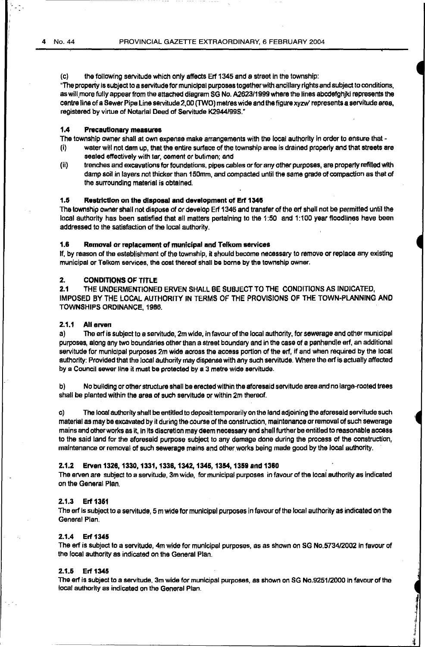(c) the following servitude which only affects Erf 1345 and a street in the township:

"The property is subject to a servitude for municipal purposes together with ancillary rights and subject to conditions, as will more fully appear from the attached diagram SG No. A2623/1999 where the lines abcdefghjkl represents the centre line of a Sewer Pipe line servitude 2,00 (TWO) metres wide and the figure xyzw' represents a servitude area, registered by virtue of Notarial Deed of Servitude K2944/99S."

# 1.4 Precautionary measures

The township owner shall at own expense make arrangements with the local authority in order to ensure that -

- (i) water will not dam up, that the entire surface of the township area is drained properly and that streets are sealed effectively with tar, cement or butimen; end
- (ii) trenches and excavations for foundations. pipes cables or for any other purposes, are property refilled with damp soil in layers not thicker than 150mm, and compacted until the same grade of compaction as that of the surrounding material is obtained.

# 1.5 Restriction on the disposal and development of Erf 1346

The township owner shall not dispose of or develop Erf 1346 and transfer of the erf shell not be permitted until the local authority has been satisfied that all matters pertaining to the 1:50 and 1:100 year floodlines have been addressed to the satisfaction of the local authority.

#### 1.8 Removal or replacement of municipal and Telkom services

If, by reason of the establishment of the township, it should become necessary to remove or replace any existing municipal or Telkom services, the cost thereof shall be borne by the township owner.

# 2. CONDITIONS OF TITLE

2.1 THE UNOERMENTIONED ERVEN SHALL BE SUBJECT TO THE CONDITIONS AS INDICATED, IMPOSED BY THE LOCAL AUTHORITY' IN TERMS OF THE PROVISIONS OF THE TOWN·PLANNING AND TOWNSHIPS ORDINANCE, 1986.

#### 2.1.1 All arvan

a) The erf is subject to a servitude, 2m wide, in favour of the local authority, for sewerage and other municipal purposes, along any two boundaries other than a street boundary and in the case of a panhandle erf, an additional servitude for municipal purposes 2m wide across the access portion of the erf, if and when required by the local authority: Provided that the local authority may dispense with any such servitude. Where the erf is actually affected by a Council sewer line it must be protected by a 3 metre wide servitude.

b) No building or other structure shall be erected within the aforesaid servitude area and no large-rooted trees shall be planted within the area of such servitude or within 2m thereof.

c) The local authority shall be entitled to deposit temporarily on the land adjoining the aforesaid servitude such material as may be excavated by it during the course of the construction. maintenance or removal of such sewerage mains and other works as it, in its discretion may deem necessary end shall further be entitled to reasonable access to the said land for the aforesaid purpose subject to any damage done during the process of the construction, maintenance or removal of such sewerage mains and other works being made good by the local authority.

#### 2.1.2 Erven 1326, 1330, 1331, 1336, 1342, 1346, 1354, 1359 and 1380

The erven are subject to a servitude, 3m wide, for municipal purposes in favour of the local authority as indicated on the General Plan.

## 2.1.3 Erf 1361

The erf is subject to a servitude, 5 m Wide for municipal purposes in favour of the local authority as indicated on the General Plan.

#### 2.1.4 Erf 1345

The erf is subject to a servitude, 4m wide for municipal purposes, as as shown on SG No.5734/2002 in favour of the local authority as indicated on the General Plan.

## 2.1.5 Erf 1345

The erf is subject to a servitude, 3m wide for municipal purposes, as shown on SG No.925112000 in favour of the local authority as indicated on the General Plan.

> *.1*  :J ,,

I 1 .. ..,.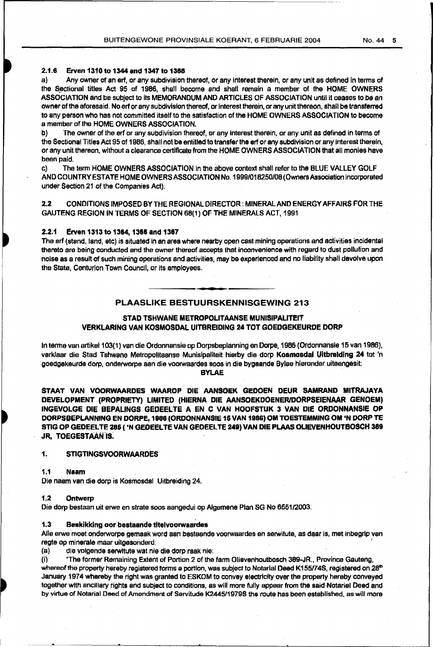## 2.1.6 Erven 1310 to 1344 and 1347 to 1368

a) Any owner of an erf, or any subdivision thereof, or any interest therein, or any unit as defined in terms of the Sectional titles Act 95 of 1986, shall become and shall remain a member of the HOME OWNERS ASSOCIATION and be subject to its MEMORANDUM AND ARTICLES OF ASSOCIATION until it ceases to be an owner of the aforesaid. No art or any subdivision thereof, or interest therein, or any unit thereon, shall be transferred to any person who has not committed itself to the satisfaction of the HOME OWNERS ASSOCIATION to become a member of the HOME OWNERS ASSOCIATION.

b) The owner of the erf or any subdivision thereof, or any interest therein, or any unit as defined in terms of the Sectional Titles Act 95 of 1986, shall not be entitled to transfer the erf or any subdivision or any interest therein, or any unit thereon, without a clearance certificate from the HOME OWNERS ASSOCIATION that all monies have been paid.

c) The term HOME OWNERS ASSOCIATION in the above context shall refer to the BLUE VALLEY GOLF AND COUNTRY ESTATE HOME OWNERS ASSOCIATION No. 1999/018250/08 (Owners Association incorporated under Section 21 of the Companies Act).

2.2 CONDITIONS IMPOSED BY THE REGIONAL DIRECTOR: MINERAL AND ENERGY AFFAIRS FOR THE GAUTENG REGION IN TERMS OF SECTION 68(1) OF THE MINERALS ACT, 1991

# 2.2.1 Erven 1313 to 1364, 1366 and 1367

The erf {stand, land, etc) is situated in an area where nearby open cast mining operations and activities incidental thereto are being conducted and the owner thereof accepts that inconvenience with regard to dust pollution and noise as a result of suCh mining operations and activities, may be experienced and no liability shall devolve upon the State, Centurion Town Council, or its employees.

# PLAASLIKE BESTUURSKENNISGEWING 213

# STAD TSHWANE METROPOLITAANSE MUNISIPALITEIT VERKLARING VAN KOSMOSDAL UITBREIDING 24 TOT GOEDGEKEURDE OORP

In terme van artikel 103(1) van die Ordonnansie op Dorpsbeplanning en Dorpe, 1986 (Ordonnansie 15 van 1986), verklaar die Stad Tshwane Metropolitaanse Munisipaliteit hierby die. dorp Koamosdal Uitbrelding 24 tot 'n goedgekeurde dorp, onderworpe aan die voorwaardes soos in die bygaande Bylee hieronder uiteengesit:

BYLAE

STAAT VAN VOORWAARDES WAAROP DIE AANSOEK GEDOEN DEUR SAMRAND MITRAJAYA DEVELOPMENT (PROPRIETY) LIMITED (HIERNA DIE AANSOEKDOENERIDORPSEIENAAR GENOEM) INGEVOLGE DIE BEPALINGS GEDEEL TE A EN C VAN HOOFSTUK 3 VAN DIE ORDONNANSIE OP DORPSBEPLANNING EN DORPE, 1888 (ORDONNANSIE 16 VAN 1988) OM TOESTEMMING OM 'N DORP TE STIG OP GEDEELTE 285 ( 'N GEDEELTE VAN GEDEELTE 249) VAN DIE PLAAS OLIEVENHOUTBOSCH 389 JR, TOEGESTAAN IS.

# 1. STIGTINGSVOORWAARDES

1.1 Naam

Die naam van die dorp is Kosmosdal Uitbreiding 24.

# 1.2 Ontwerp

Die dorp bestaan uit erwe en strata soos aangedui op Algemene Plan SG No 655112003.

## 1.3 Beskikking oor bestaande titelvoorwaardes

Aile erwe moet onderworpe gemaak word aan bestaande voorwaardes en serwitute, as daar is, met inbegrip van regte op minerale maar uitgesonderd: '

(a) die volgende serwltute wat nie die dorp raak nie:

(i) "The former Remaining Extent of Portion 2 of the fann Olievenhoutbosch 389-JR.. Province Gauteng,

whereof the property hereby registered forms a portion, was subject to Notarial Deed K155/74S, registered on 28<sup>th</sup> January 1974 whereby the right was granted to ESKOM to convey electricity over the property hereby conveyed together with ancillary rights arid subject to conditions, as will more fully appear from the said Notarial Deed and by virtue of Notarial Deed of Amendment of Servitude K2445/1979S the route has been established, as will more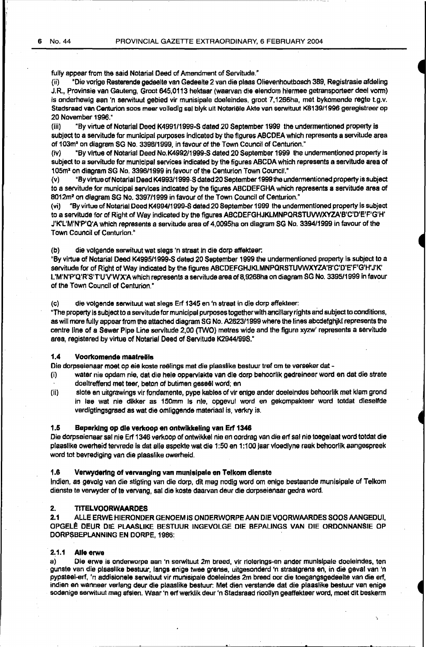fully appear from the said Notarial Deed of Amendment of Servitude."

(ii) "Die vorige Resterende gedeelte van Gedeelte 2 van die plaas Olievenhoutbosch 389, Registrasie afdeling J.R., Provinsie van Gauteng, Groot 645,0113 hektaar (waarvan die eiendom hiermee getransporteer deel vorm) is onderhewig aan 'n serwituut gebied vir munisipale doeleindes, groot 7,1266ha, met bykomende regte t.g.v. Stadsraad van Centurion soos meer volledig sal blyk uit Notariële Akte van serwituut K8139/1996 geregistreer op 20 November 1996."

(iii) "By virtue of Notarial Deed K4991/1999-S dated 20 September 1999 the undermentioned property is subject to a servitude for municipal purposes indicated by the figures ABCOEA which represents a servitude area of 103m" on diagram SG No. 3396/1999, in favour of the Town Council of Centurion."

(iv) "By virtue of Notarial Deed No.K4992/1999-S dated 20 September 1999 the undermentioned property is subject to a servitude for municipal services indicated by the figures ABCDA which represents a servitude area of 105m<sup>3</sup>on diagram SG No. 3396/1999 in favour of the Centurion Town Council."

(v) "By virtue of Notarial Deed K4993/1999~S dated20 September 1999 the undermentioned property is subject to a servitude for municipal services indicated by the figures ABCDEFGHA which represents a servitude area of 8012m' on diagram SG No. 3397/1999 in favour of the Town Council of Centurion."

(vi) "By virtue of Notarial Deed K4994/1999-S dated 20 September 1999 the undermentioned property is subject to a servitude for of Right of Way indicated by the figures ABCDEFGHJKLMNPORSTUVWXYZA'B'C'O'E'F'G'H' J'K'L'M'N'P'Q'A which represents a servitude area of 4,0095ha on diagram SG No. 3394/1999 in favour of the Town Council of Centurion."

(b) die volgende serwituut wat slags 'n straat in die dorp affekteer:

"By virtue of Notarial Deed K4995/1999-S dated 20 September 1999 the undermentioned property is subject to a servitude for of Right of Way indicated by the figures ABCDEFGHJKLMNPQRSTUVWXYZA'B'C'D'E'F'G'H'J'K' L'M'N'P'Q'R'S'T'U'VW'X'A which represents a servitude area of 8,9268ha on diagram SG No. 3395/1999 in favour of the Town Council of Centurion."

(c) die volgende serwituut wat slags Erf 1345 en 'n straat in die dorp affekteer:

"The property is subject to a servitude for municipal purposes together with ancillary rights and subject to conditions, as will more fully appear from the attached diagram SG No. A2623/1999 where the lines abcdefghjkl represents the centre line of a Sewer Pipe line servitude 2,00 (TWO) metres wide and the figure xyzw' represents a servitude area, registered by virtue of Notarial Deed of Servitude K2944/99S."

#### 1.4 Voorkomende maatreëls

Die dorpseienaar moet op eie koste reëlings met die plaaslike bestuur tref om te verseker dat -

- {i) water nie opdam nie, dat die hele oppervlakte van die dorp behoorlik gedreineer word en dat die strate doeltreffend met teer, beton of butimen geseel word; en
- (ii) slote en uitgrawings vir fondamente, pype kables of vir enige ander doeleincles behoorlik met klam grond in lae wat nie dlkker as 150mm Is nle, opgevul word en gekompakteer word totdat dleselfde verdigtingsgraad as wat die omliggende materiaal is, verkry is.

#### 1.5 Beperklng op die verkoop en ontwikkeling van Erf 1346

Die dorpseienaar sal nie Erf 1346 verkoop of ontwikkel nie en oordrag van die erf sal nie toegelaat word totdat die plaaslike owerheid tervrede is dat aile aspekte wat die 1:50 en 1 :100 jaar vloedlyne raak behoorlik aangespreek word tot bevrediging van die plaaslike owerheid.

#### 1.6 Verwyderlng of vervanging van munlslpale en Telkom dienste

lndien, as gevolg van die stigting van die dorp, dit mag nodig word om enige bestaande munisipale of Telkom dienste te verwyder of te vervang, sal die koste daarvan deur die dorpseienaar gedra word.

#### 2. TITELVOORWAARDES

2.1 ALLE ERWE HIERONDER GENOEM IS ONDERWORPE AAN DIE VOORWAARDES SOOS AANGEDUI, OPGEL~ DEUR DIE PLAASLIKE BESTUUR INGEVOLGE DIE BEPALINGS VAN DIE ORDONNANSIE OP DORPSBEPLANNING EN DORPE, 1986:

# 2.1.1 Aile erwe

a) Die erwe is onderworpe aan 'n serwituut 2m breed, vir riolerings-en ander munisipale doeleindes, ten gunste van die plaaslike bestuur, langs enige twee grense, uitgesonderd •n straatgrens en, in die geval van 'n pypsteel-erf, 'n addisionele serwituut vir munisipale doeleindes 2m breed oor die toegangsgedeelte van die erf, indien en wanneer verlang deur die plaaslike bestuur: Met dien verstande dat die plaaslike bestuur van enige sodanige serwituut mag afsien. Waar 'n erf werklik deur 'n Stadsraad rioollyn geaffekteer word, moet dit beskerm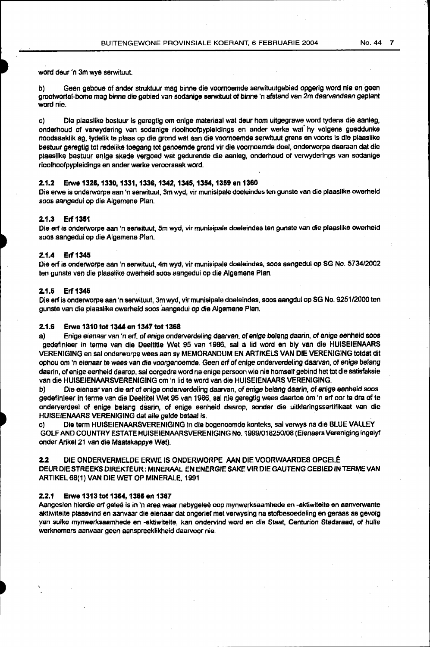word deur 'n 3m wye serwituul

b) Geen geboue of ander struktuur mag binne die voomoemde serwituutgebied opgerig word nie en geen grootwortel-bome mag binne die gebied van sodanige serwituut of binne 'n afstand van 2m daarvandaan geplant word nie.

c) Die plaaslike bestuur is geregtig om enige materiaal wat deur hom uitgegrawe word tydens die aanleg, onderhoud of verwydering van sodanige rioolhoofpypleidings en ander werke wat" hy volgens goeddunke noodsaaklik ag, tydelik te plaas op die grond wat aan die voornoemde serwituut grens en voorts is die plaaslike bestuur geregtig tot redelike toegang tot genoemde grond vir die voomoernde doel, onderworpe daaraan dat die plaaslike bestuur enige skade vergoed wat gedurende die aanleg, onderhoud of verwyderings van sodanige rioolhoofpypleidings en ander werke veroorsaak word.

#### 2.1.2 Erwe 1326, 1330, 1331, 1336, 1342, 1345, 1354, 1369 en 1360

Die erwe is onderworpe aan 'n serwituut, 3m wyd, vir munislpale doeleindes ten gunste van die plaasllke owerheid soos aangedui op die Algemene Plan.

# 2.1.3 Erf 1361

Die erf is onderworpe aan 'n serwituut, 5m wyd, vir munisipale doeleindes ten gunste van die plaaslike owerheid soos aangedui op die Algemene Plan.

#### 2.1.4 Erf 1345

Die erf is onclerworpe aan 'n serwituut, 4m wyd, vir munisipale doeleindes, soos aangedui op SG No. 5734/2002 ten gunste van die plaaslike owerheid soos aangedui op die Algemene Plan.

#### 2.1.6 Erf1346

Die erf is onderworpe aan 'n serwituut, 3m wyd, vir munisipale doeleindes, soos aangdui op SG No. 9251/2000 ten gunste van die plaaslike owerheid soos 'aangedui op die Algemene Plan.

### 2.1.6 Erwe 1310 tot 1344 en 1347 tot 1368

a) Enige eisnaar van 'n erf, of enige onderverdeling daarvan. of enige belang daarin, of enige eenheid soos gedefinieer in terme van die Deeltitle Wet 95 van 1986, sal a lid word en bly van die HUISEIENAARS VERENIGING en sal onderworpe wees aan sy MEMORANDUM EN ARTIKELS VAN DIE VERENIGING totdat dit ophou om 'n eienaar te wees van die voorgenoemde. Geen erf of enige onderverdeling daarvan, of enige belang daarin, of enige eenheid daarop, sal oorgedra word na enige persoon wie nie homself gebind het tot die satisfaksie van die HUISEIENAARSVERENIGING om 'n lid te word van die HUISEIENAARS VERENIGING.

b) Die eienaar van die erf of enige onderverdaling daarvan, of enige belang daarin, of enige eenheid soos gedefinieer in terme van die Deeltitel Wet 95 van 1986, sal nie geregtig wees daartoe om 'n erf oor te dra of te onderverdeel of enige belang daarin, of enige eenheid daamp, sonder die uitklaringssertifikaat van die HUJSEIENAARS VERENIGING dat aile gelde betaal is.

c) Die term HUISEIENAARSVERENIGING in die bogenoemde konteks, sal verwys na die BLUE VALLEY GOLF AND COUNTRY ESTATE HUISEIENAARSVERENIGING No. 1999/018250/08 (Eienaars Vereniging ingelyf onder Arikel 21 van die Maatskappye Wet).

2.2 DIE ONDERVERMELDE ERWE IS ONDERWORPE AAN DIE VOORWMRDES OPGELE DEUR DIE STREEKS DIREKTEUR: MINERAAL EN ENERGIE SAKE VIR DIE GAUTENG GEBIED IN TERME VAN ARTIKEL 68(1) VAN DIE WET OP MINERALE, 1991

#### 2.2.1 Erwe 1313 tot 1364, 1366 en 1367

Aangesien hierdie erf geleë is in 'n area waar nabygeleë oop mynwerksaamhede en -aktiwiteite en aanverwante aktiwiteite plaasvind en aanvaar die eienaar dat ongerief met verwysing na stofbesoedeling en geraas as gevolg yan sulke mynwerksaamhede en -aktlwiteite, kan ondervind word en die Staat, Centurion Stadsraad, of hulle werknemers aanvaar geen aanspreeklikheid daarvoor nie.